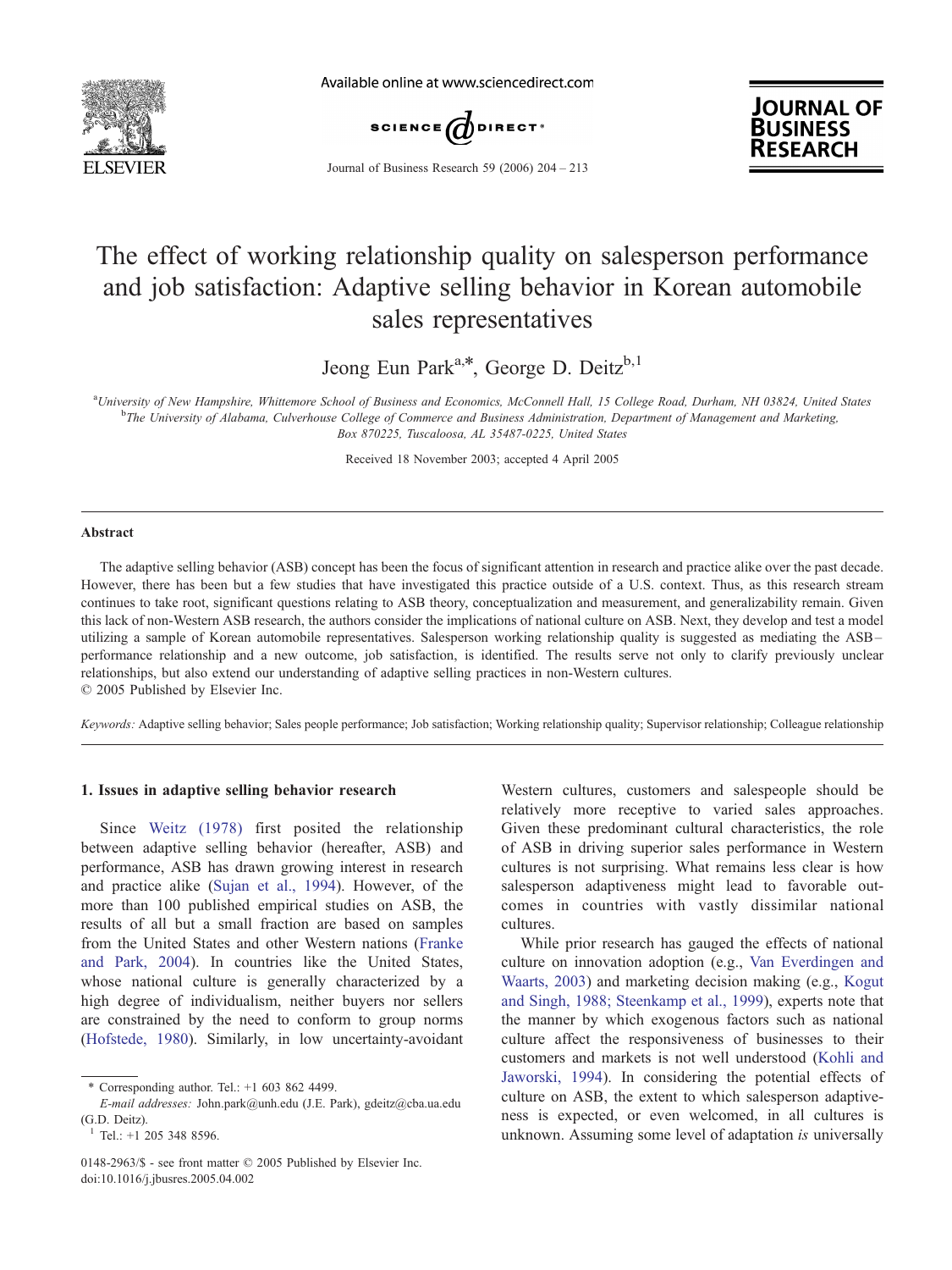

Available online at www.sciencedirect.com



Journal of Business Research 59 (2006) 204 – 213



# The effect of working relationship quality on salesperson performance and job satisfaction: Adaptive selling behavior in Korean automobile sales representatives

Jeong Eun Park<sup>a,\*</sup>, George D. Deitz<sup>b,1</sup>

a University of New Hampshire, Whittemore School of Business and Economics, McConnell Hall, 15 College Road, Durham, NH 03824, United States<br>PThe University of Alebana, Culverhouse College of Commerce and Business Administ <sup>b</sup>The University of Alabama, Culverhouse College of Commerce and Business Administration, Department of Management and Marketing, Box 870225, Tuscaloosa, AL 35487-0225, United States

Received 18 November 2003; accepted 4 April 2005

#### Abstract

The adaptive selling behavior (ASB) concept has been the focus of significant attention in research and practice alike over the past decade. However, there has been but a few studies that have investigated this practice outside of a U.S. context. Thus, as this research stream continues to take root, significant questions relating to ASB theory, conceptualization and measurement, and generalizability remain. Given this lack of non-Western ASB research, the authors consider the implications of national culture on ASB. Next, they develop and test a model utilizing a sample of Korean automobile representatives. Salesperson working relationship quality is suggested as mediating the ASB – performance relationship and a new outcome, job satisfaction, is identified. The results serve not only to clarify previously unclear relationships, but also extend our understanding of adaptive selling practices in non-Western cultures.  $© 2005$  Published by Elsevier Inc.

Keywords: Adaptive selling behavior; Sales people performance; Job satisfaction; Working relationship quality; Supervisor relationship; Colleague relationship

#### 1. Issues in adaptive selling behavior research

Since [Weitz \(1978\)](#page-9-0) first posited the relationship between adaptive selling behavior (hereafter, ASB) and performance, ASB has drawn growing interest in research and practice alike ([Sujan et al., 1994\)](#page-9-0). However, of the more than 100 published empirical studies on ASB, the results of all but a small fraction are based on samples from the United States and other Western nations ([Franke](#page-9-0) and Park, 2004). In countries like the United States, whose national culture is generally characterized by a high degree of individualism, neither buyers nor sellers are constrained by the need to conform to group norms ([Hofstede, 1980\)](#page-9-0). Similarly, in low uncertainty-avoidant

Western cultures, customers and salespeople should be relatively more receptive to varied sales approaches. Given these predominant cultural characteristics, the role of ASB in driving superior sales performance in Western cultures is not surprising. What remains less clear is how salesperson adaptiveness might lead to favorable outcomes in countries with vastly dissimilar national cultures.

While prior research has gauged the effects of national culture on innovation adoption (e.g., [Van Everdingen and](#page-9-0) Waarts, 2003) and marketing decision making (e.g., [Kogut](#page-9-0) and Singh, 1988; Steenkamp et al., 1999), experts note that the manner by which exogenous factors such as national culture affect the responsiveness of businesses to their customers and markets is not well understood ([Kohli and](#page-9-0) Jaworski, 1994). In considering the potential effects of culture on ASB, the extent to which salesperson adaptiveness is expected, or even welcomed, in all cultures is unknown. Assuming some level of adaptation is universally

<sup>\*</sup> Corresponding author. Tel.: +1 603 862 4499.

E-mail addresses: John.park@unh.edu (J.E. Park), gdeitz@cba.ua.edu (G.D. Deitz).

<sup>1</sup> Tel.: +1 205 348 8596.

<sup>0148-2963/\$ -</sup> see front matter  $\odot$  2005 Published by Elsevier Inc. doi:10.1016/j.jbusres.2005.04.002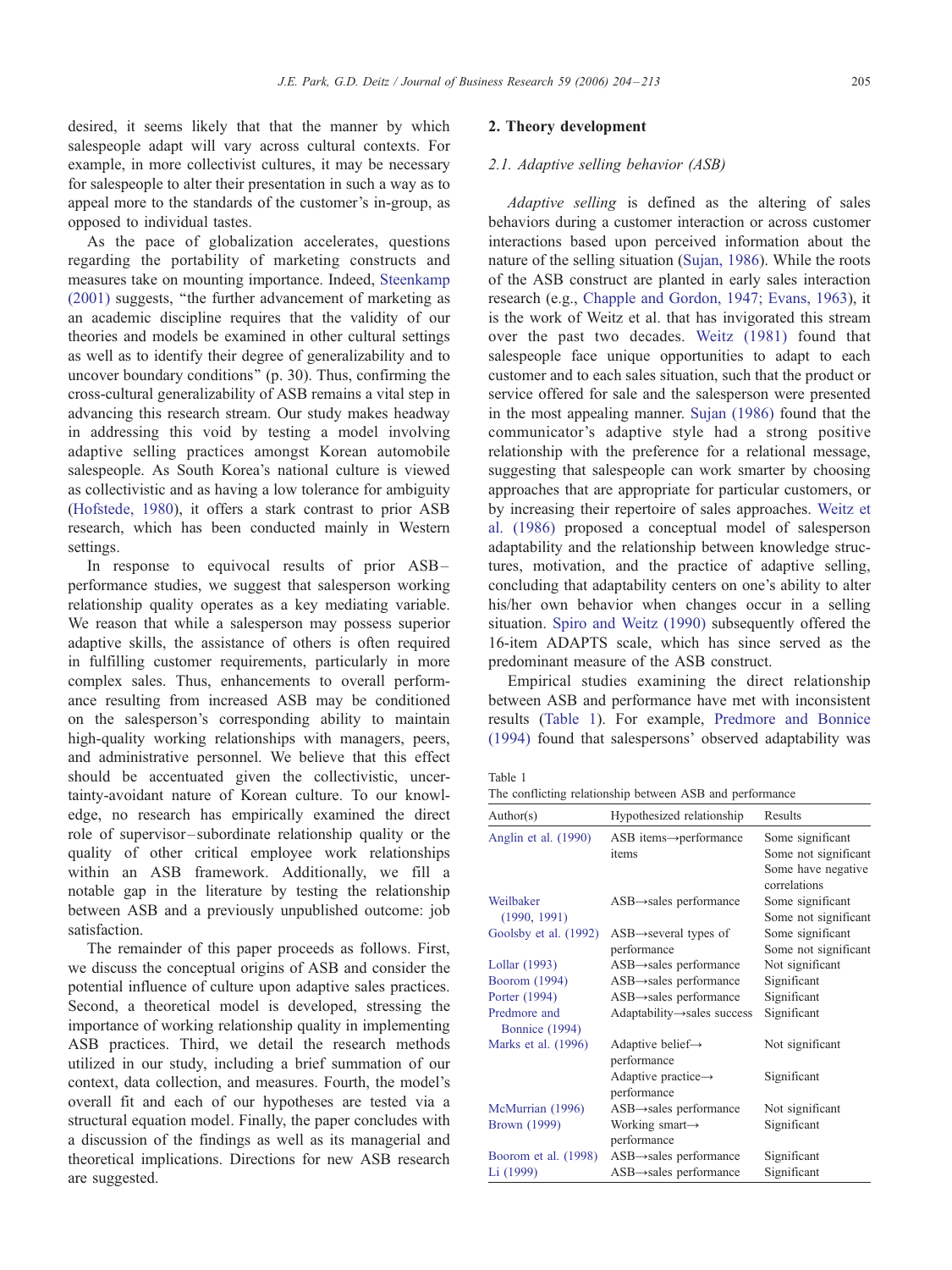desired, it seems likely that that the manner by which salespeople adapt will vary across cultural contexts. For example, in more collectivist cultures, it may be necessary for salespeople to alter their presentation in such a way as to appeal more to the standards of the customer's in-group, as opposed to individual tastes.

As the pace of globalization accelerates, questions regarding the portability of marketing constructs and measures take on mounting importance. Indeed, [Steenkamp](#page-9-0) (2001) suggests, ''the further advancement of marketing as an academic discipline requires that the validity of our theories and models be examined in other cultural settings as well as to identify their degree of generalizability and to uncover boundary conditions'' (p. 30). Thus, confirming the cross-cultural generalizability of ASB remains a vital step in advancing this research stream. Our study makes headway in addressing this void by testing a model involving adaptive selling practices amongst Korean automobile salespeople. As South Korea's national culture is viewed as collectivistic and as having a low tolerance for ambiguity ([Hofstede, 1980\)](#page-9-0), it offers a stark contrast to prior ASB research, which has been conducted mainly in Western settings.

In response to equivocal results of prior ASBperformance studies, we suggest that salesperson working relationship quality operates as a key mediating variable. We reason that while a salesperson may possess superior adaptive skills, the assistance of others is often required in fulfilling customer requirements, particularly in more complex sales. Thus, enhancements to overall performance resulting from increased ASB may be conditioned on the salesperson's corresponding ability to maintain high-quality working relationships with managers, peers, and administrative personnel. We believe that this effect should be accentuated given the collectivistic, uncertainty-avoidant nature of Korean culture. To our knowledge, no research has empirically examined the direct role of supervisor – subordinate relationship quality or the quality of other critical employee work relationships within an ASB framework. Additionally, we fill a notable gap in the literature by testing the relationship between ASB and a previously unpublished outcome: job satisfaction.

The remainder of this paper proceeds as follows. First, we discuss the conceptual origins of ASB and consider the potential influence of culture upon adaptive sales practices. Second, a theoretical model is developed, stressing the importance of working relationship quality in implementing ASB practices. Third, we detail the research methods utilized in our study, including a brief summation of our context, data collection, and measures. Fourth, the model's overall fit and each of our hypotheses are tested via a structural equation model. Finally, the paper concludes with a discussion of the findings as well as its managerial and theoretical implications. Directions for new ASB research are suggested.

# 2. Theory development

# 2.1. Adaptive selling behavior (ASB)

Adaptive selling is defined as the altering of sales behaviors during a customer interaction or across customer interactions based upon perceived information about the nature of the selling situation ([Sujan, 1986\)](#page-9-0). While the roots of the ASB construct are planted in early sales interaction research (e.g., [Chapple and Gordon, 1947; Evans, 1963\)](#page-8-0), it is the work of Weitz et al. that has invigorated this stream over the past two decades. [Weitz \(1981\)](#page-9-0) found that salespeople face unique opportunities to adapt to each customer and to each sales situation, such that the product or service offered for sale and the salesperson were presented in the most appealing manner. [Sujan \(1986\)](#page-9-0) found that the communicator's adaptive style had a strong positive relationship with the preference for a relational message, suggesting that salespeople can work smarter by choosing approaches that are appropriate for particular customers, or by increasing their repertoire of sales approaches. [Weitz et](#page-9-0) al. (1986) proposed a conceptual model of salesperson adaptability and the relationship between knowledge structures, motivation, and the practice of adaptive selling, concluding that adaptability centers on one's ability to alter his/her own behavior when changes occur in a selling situation. [Spiro and Weitz \(1990\)](#page-9-0) subsequently offered the 16-item ADAPTS scale, which has since served as the predominant measure of the ASB construct.

Empirical studies examining the direct relationship between ASB and performance have met with inconsistent results (Table 1). For example, [Predmore and Bonnice](#page-9-0) (1994) found that salespersons' observed adaptability was

|--|--|--|--|--|--|

|  |  |  | The conflicting relationship between ASB and performance |  |
|--|--|--|----------------------------------------------------------|--|
|  |  |  |                                                          |  |

| Author(s)                             | Hypothesized relationship                                   | Results                                                                        |
|---------------------------------------|-------------------------------------------------------------|--------------------------------------------------------------------------------|
| Anglin et al. (1990)                  | ASB items $\rightarrow$ performance<br>items                | Some significant<br>Some not significant<br>Some have negative<br>correlations |
| Weilbaker<br>(1990, 1991)             | $\text{ASB} \rightarrow$ sales performance                  | Some significant<br>Some not significant                                       |
| Goolsby et al. (1992)                 | $\widehat{ASB} \rightarrow$ several types of<br>performance | Some significant<br>Some not significant                                       |
| Lollar (1993)                         | $ASB \rightarrow$ sales performance                         | Not significant                                                                |
| Boorom (1994)                         | $ASB \rightarrow$ sales performance                         | Significant                                                                    |
| Porter (1994)                         | $\text{ASB} \rightarrow$ sales performance                  | Significant                                                                    |
| Predmore and<br><b>Bonnice</b> (1994) | Adaptability→sales success                                  | Significant                                                                    |
| Marks et al. (1996)                   | Adaptive belief $\rightarrow$<br>performance                | Not significant                                                                |
|                                       | Adaptive practice $\rightarrow$<br>performance              | Significant                                                                    |
| McMurrian (1996)                      | $ASB \rightarrow$ sales performance                         | Not significant                                                                |
| <b>Brown</b> (1999)                   | Working smart $\rightarrow$<br>performance                  | Significant                                                                    |
| Boorom et al. (1998)                  | $ASB \rightarrow$ sales performance                         | Significant                                                                    |
| Li (1999)                             | $\text{ASB} \rightarrow$ sales performance                  | Significant                                                                    |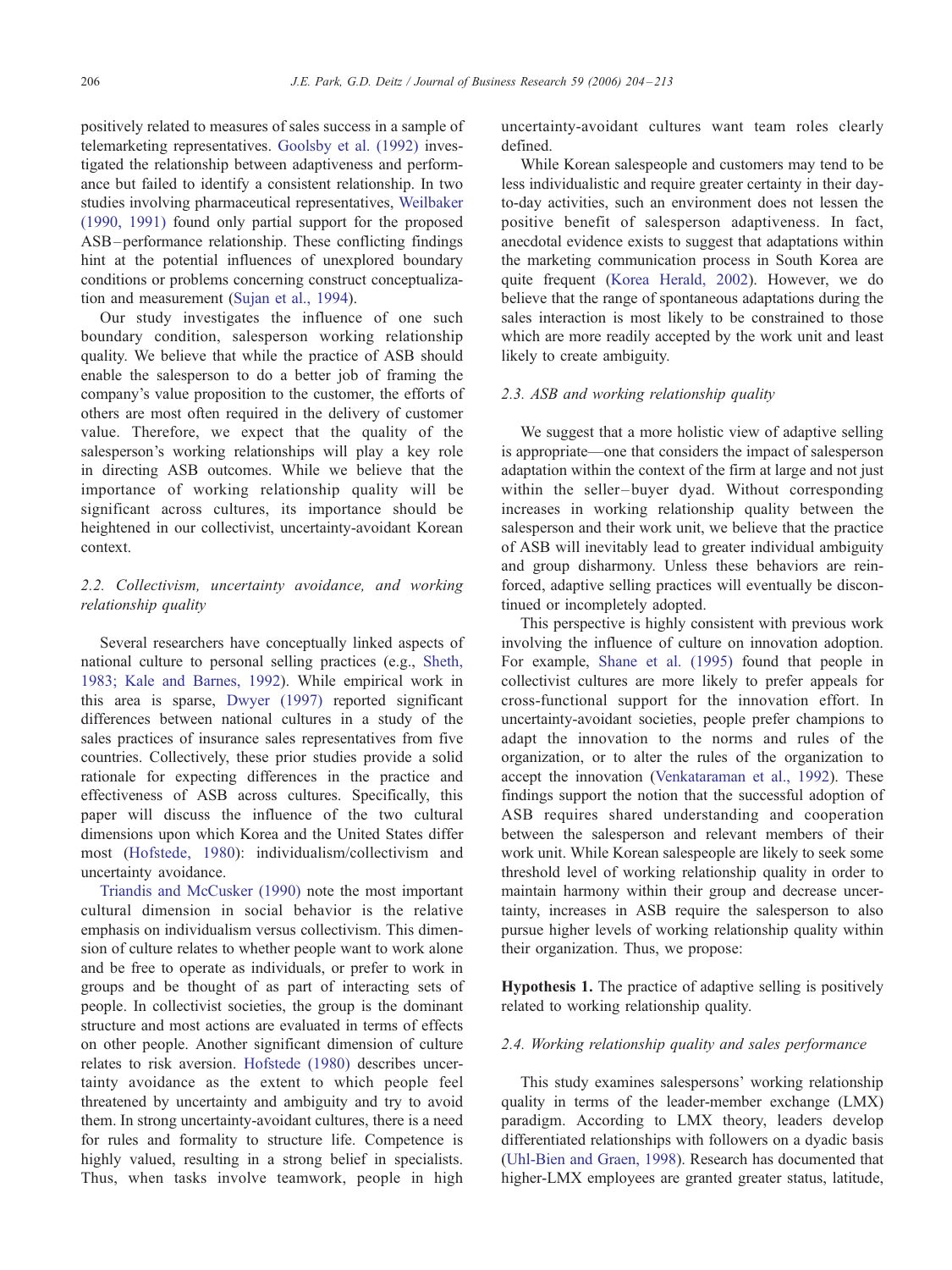positively related to measures of sales success in a sample of telemarketing representatives. [Goolsby et al. \(1992\)](#page-9-0) investigated the relationship between adaptiveness and performance but failed to identify a consistent relationship. In two studies involving pharmaceutical representatives, [Weilbaker](#page-9-0) (1990, 1991) found only partial support for the proposed ASB – performance relationship. These conflicting findings hint at the potential influences of unexplored boundary conditions or problems concerning construct conceptualization and measurement ([Sujan et al., 1994\)](#page-9-0).

Our study investigates the influence of one such boundary condition, salesperson working relationship quality. We believe that while the practice of ASB should enable the salesperson to do a better job of framing the company's value proposition to the customer, the efforts of others are most often required in the delivery of customer value. Therefore, we expect that the quality of the salesperson's working relationships will play a key role in directing ASB outcomes. While we believe that the importance of working relationship quality will be significant across cultures, its importance should be heightened in our collectivist, uncertainty-avoidant Korean context.

# 2.2. Collectivism, uncertainty avoidance, and working relationship quality

Several researchers have conceptually linked aspects of national culture to personal selling practices (e.g., [Sheth,](#page-9-0) 1983; Kale and Barnes, 1992). While empirical work in this area is sparse, [Dwyer \(1997\)](#page-9-0) reported significant differences between national cultures in a study of the sales practices of insurance sales representatives from five countries. Collectively, these prior studies provide a solid rationale for expecting differences in the practice and effectiveness of ASB across cultures. Specifically, this paper will discuss the influence of the two cultural dimensions upon which Korea and the United States differ most ([Hofstede, 1980\)](#page-9-0): individualism/collectivism and uncertainty avoidance.

[Triandis and McCusker \(1990\)](#page-9-0) note the most important cultural dimension in social behavior is the relative emphasis on individualism versus collectivism. This dimension of culture relates to whether people want to work alone and be free to operate as individuals, or prefer to work in groups and be thought of as part of interacting sets of people. In collectivist societies, the group is the dominant structure and most actions are evaluated in terms of effects on other people. Another significant dimension of culture relates to risk aversion. [Hofstede \(1980\)](#page-9-0) describes uncertainty avoidance as the extent to which people feel threatened by uncertainty and ambiguity and try to avoid them. In strong uncertainty-avoidant cultures, there is a need for rules and formality to structure life. Competence is highly valued, resulting in a strong belief in specialists. Thus, when tasks involve teamwork, people in high uncertainty-avoidant cultures want team roles clearly defined.

While Korean salespeople and customers may tend to be less individualistic and require greater certainty in their dayto-day activities, such an environment does not lessen the positive benefit of salesperson adaptiveness. In fact, anecdotal evidence exists to suggest that adaptations within the marketing communication process in South Korea are quite frequent ([Korea Herald, 2002\)](#page-9-0). However, we do believe that the range of spontaneous adaptations during the sales interaction is most likely to be constrained to those which are more readily accepted by the work unit and least likely to create ambiguity.

# 2.3. ASB and working relationship quality

We suggest that a more holistic view of adaptive selling is appropriate—one that considers the impact of salesperson adaptation within the context of the firm at large and not just within the seller-buyer dyad. Without corresponding increases in working relationship quality between the salesperson and their work unit, we believe that the practice of ASB will inevitably lead to greater individual ambiguity and group disharmony. Unless these behaviors are reinforced, adaptive selling practices will eventually be discontinued or incompletely adopted.

This perspective is highly consistent with previous work involving the influence of culture on innovation adoption. For example, [Shane et al. \(1995\)](#page-9-0) found that people in collectivist cultures are more likely to prefer appeals for cross-functional support for the innovation effort. In uncertainty-avoidant societies, people prefer champions to adapt the innovation to the norms and rules of the organization, or to alter the rules of the organization to accept the innovation ([Venkataraman et al., 1992\)](#page-9-0). These findings support the notion that the successful adoption of ASB requires shared understanding and cooperation between the salesperson and relevant members of their work unit. While Korean salespeople are likely to seek some threshold level of working relationship quality in order to maintain harmony within their group and decrease uncertainty, increases in ASB require the salesperson to also pursue higher levels of working relationship quality within their organization. Thus, we propose:

Hypothesis 1. The practice of adaptive selling is positively related to working relationship quality.

#### 2.4. Working relationship quality and sales performance

This study examines salespersons' working relationship quality in terms of the leader-member exchange (LMX) paradigm. According to LMX theory, leaders develop differentiated relationships with followers on a dyadic basis ([Uhl-Bien and Graen, 1998\)](#page-9-0). Research has documented that higher-LMX employees are granted greater status, latitude,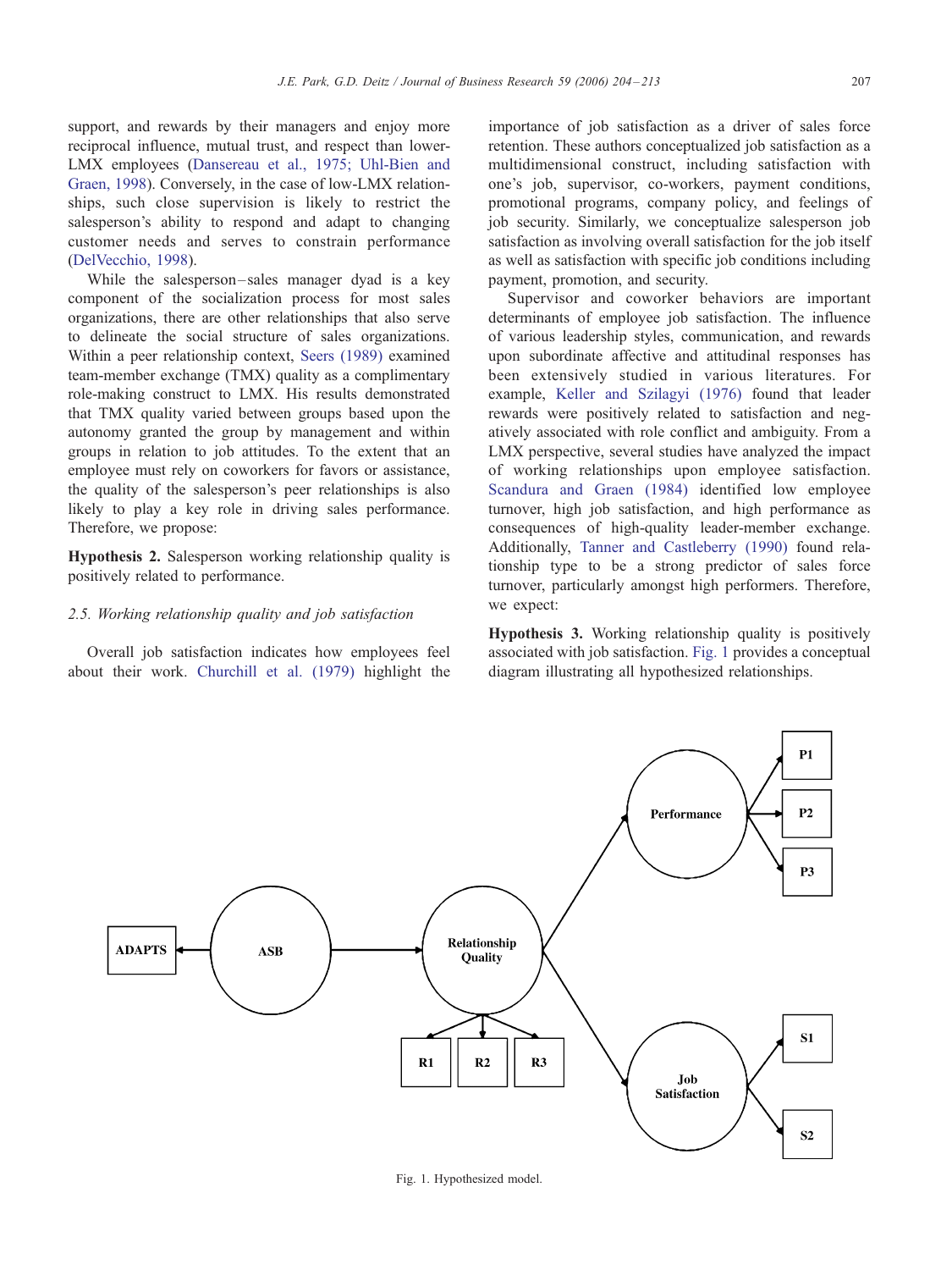support, and rewards by their managers and enjoy more reciprocal influence, mutual trust, and respect than lower-LMX employees ([Dansereau et al., 1975; Uhl-Bien and](#page-8-0) Graen, 1998). Conversely, in the case of low-LMX relationships, such close supervision is likely to restrict the salesperson's ability to respond and adapt to changing customer needs and serves to constrain performance ([DelVecchio, 1998\)](#page-8-0).

While the salesperson-sales manager dyad is a key component of the socialization process for most sales organizations, there are other relationships that also serve to delineate the social structure of sales organizations. Within a peer relationship context, [Seers \(1989\)](#page-9-0) examined team-member exchange (TMX) quality as a complimentary role-making construct to LMX. His results demonstrated that TMX quality varied between groups based upon the autonomy granted the group by management and within groups in relation to job attitudes. To the extent that an employee must rely on coworkers for favors or assistance, the quality of the salesperson's peer relationships is also likely to play a key role in driving sales performance. Therefore, we propose:

Hypothesis 2. Salesperson working relationship quality is positively related to performance.

# 2.5. Working relationship quality and job satisfaction

Overall job satisfaction indicates how employees feel about their work. [Churchill et al. \(1979\)](#page-8-0) highlight the importance of job satisfaction as a driver of sales force retention. These authors conceptualized job satisfaction as a multidimensional construct, including satisfaction with one's job, supervisor, co-workers, payment conditions, promotional programs, company policy, and feelings of job security. Similarly, we conceptualize salesperson job satisfaction as involving overall satisfaction for the job itself as well as satisfaction with specific job conditions including payment, promotion, and security.

Supervisor and coworker behaviors are important determinants of employee job satisfaction. The influence of various leadership styles, communication, and rewards upon subordinate affective and attitudinal responses has been extensively studied in various literatures. For example, [Keller and Szilagyi \(1976\)](#page-9-0) found that leader rewards were positively related to satisfaction and negatively associated with role conflict and ambiguity. From a LMX perspective, several studies have analyzed the impact of working relationships upon employee satisfaction. [Scandura and Graen \(1984\)](#page-9-0) identified low employee turnover, high job satisfaction, and high performance as consequences of high-quality leader-member exchange. Additionally, [Tanner and Castleberry \(1990\)](#page-9-0) found relationship type to be a strong predictor of sales force turnover, particularly amongst high performers. Therefore, we expect:

Hypothesis 3. Working relationship quality is positively associated with job satisfaction. Fig. 1 provides a conceptual diagram illustrating all hypothesized relationships.



Fig. 1. Hypothesized model.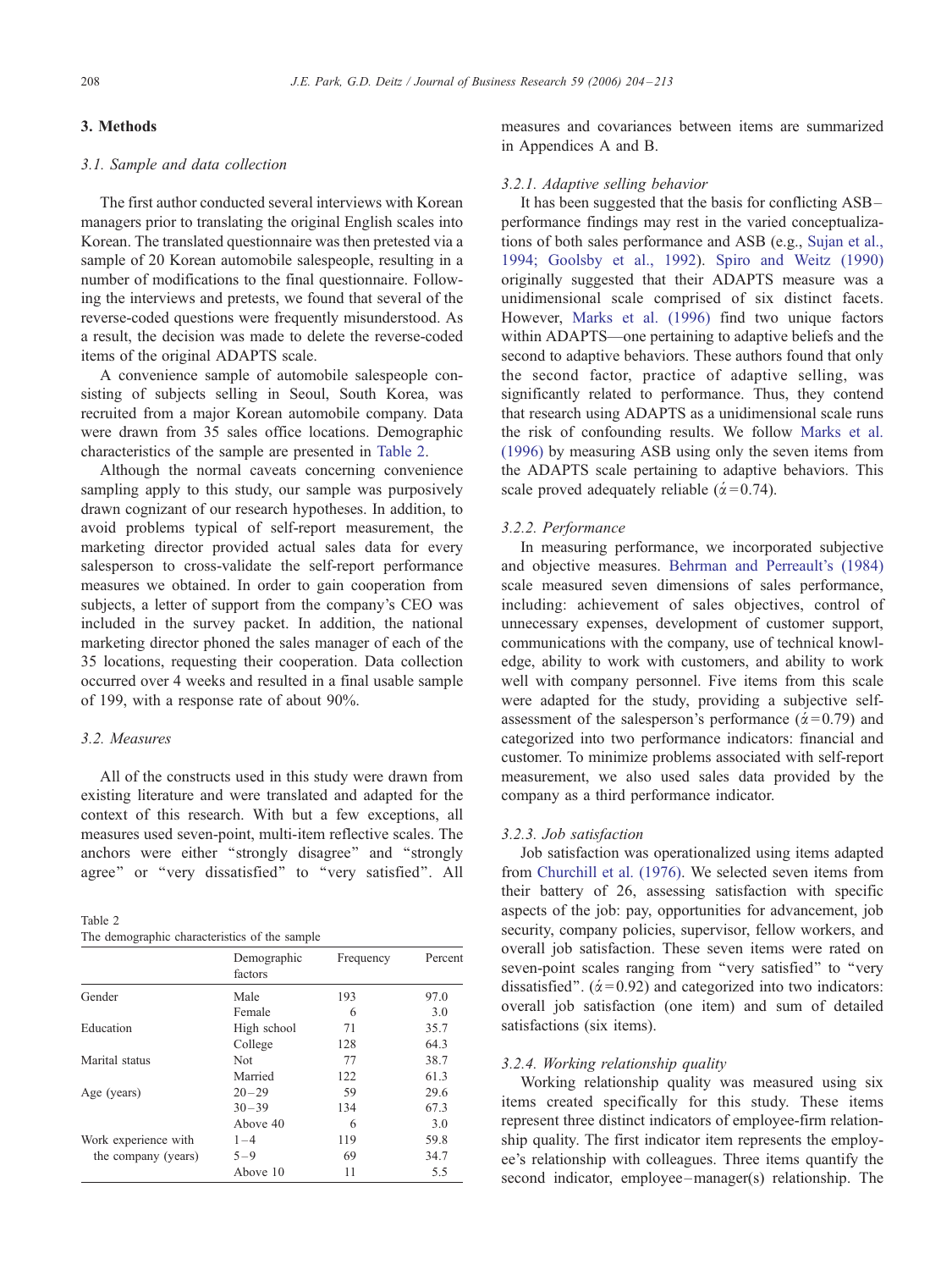## 3. Methods

# 3.1. Sample and data collection

The first author conducted several interviews with Korean managers prior to translating the original English scales into Korean. The translated questionnaire was then pretested via a sample of 20 Korean automobile salespeople, resulting in a number of modifications to the final questionnaire. Following the interviews and pretests, we found that several of the reverse-coded questions were frequently misunderstood. As a result, the decision was made to delete the reverse-coded items of the original ADAPTS scale.

A convenience sample of automobile salespeople consisting of subjects selling in Seoul, South Korea, was recruited from a major Korean automobile company. Data were drawn from 35 sales office locations. Demographic characteristics of the sample are presented in Table 2.

Although the normal caveats concerning convenience sampling apply to this study, our sample was purposively drawn cognizant of our research hypotheses. In addition, to avoid problems typical of self-report measurement, the marketing director provided actual sales data for every salesperson to cross-validate the self-report performance measures we obtained. In order to gain cooperation from subjects, a letter of support from the company's CEO was included in the survey packet. In addition, the national marketing director phoned the sales manager of each of the 35 locations, requesting their cooperation. Data collection occurred over 4 weeks and resulted in a final usable sample of 199, with a response rate of about 90%.

# 3.2. Measures

All of the constructs used in this study were drawn from existing literature and were translated and adapted for the context of this research. With but a few exceptions, all measures used seven-point, multi-item reflective scales. The anchors were either ''strongly disagree'' and ''strongly agree'' or ''very dissatisfied'' to ''very satisfied''. All

| Table 2                                       |  |  |
|-----------------------------------------------|--|--|
| The demographic characteristics of the sample |  |  |

|                      | Demographic<br>factors | Frequency | Percent |
|----------------------|------------------------|-----------|---------|
| Gender               | Male                   | 193       | 97.0    |
|                      | Female                 | 6         | 3.0     |
| Education            | High school            | 71        | 35.7    |
|                      | College                | 128       | 64.3    |
| Marital status       | <b>Not</b>             | 77        | 38.7    |
|                      | Married                | 122       | 61.3    |
| Age (years)          | $20 - 29$              | 59        | 29.6    |
|                      | $30 - 39$              | 134       | 67.3    |
|                      | Above 40               | 6         | 3.0     |
| Work experience with | $1 - 4$                | 119       | 59.8    |
| the company (years)  | $5 - 9$                | 69        | 34.7    |
|                      | Above 10               | 11        | 5.5     |

measures and covariances between items are summarized in Appendices A and B.

# 3.2.1. Adaptive selling behavior

It has been suggested that the basis for conflicting ASB – performance findings may rest in the varied conceptualizations of both sales performance and ASB (e.g., [Sujan et al.,](#page-9-0) 1994; Goolsby et al., 1992). [Spiro and Weitz \(1990\)](#page-9-0) originally suggested that their ADAPTS measure was a unidimensional scale comprised of six distinct facets. However, [Marks et al. \(1996\)](#page-9-0) find two unique factors within ADAPTS—one pertaining to adaptive beliefs and the second to adaptive behaviors. These authors found that only the second factor, practice of adaptive selling, was significantly related to performance. Thus, they contend that research using ADAPTS as a unidimensional scale runs the risk of confounding results. We follow [Marks et al.](#page-9-0) (1996) by measuring ASB using only the seven items from the ADAPTS scale pertaining to adaptive behaviors. This scale proved adequately reliable ( $\acute{\alpha}$  = 0.74).

#### 3.2.2. Performance

In measuring performance, we incorporated subjective and objective measures. [Behrman and Perreault's \(1984\)](#page-8-0) scale measured seven dimensions of sales performance, including: achievement of sales objectives, control of unnecessary expenses, development of customer support, communications with the company, use of technical knowledge, ability to work with customers, and ability to work well with company personnel. Five items from this scale were adapted for the study, providing a subjective selfassessment of the salesperson's performance ( $\acute{\alpha}$  = 0.79) and categorized into two performance indicators: financial and customer. To minimize problems associated with self-report measurement, we also used sales data provided by the company as a third performance indicator.

# 3.2.3. Job satisfaction

Job satisfaction was operationalized using items adapted from [Churchill et al. \(1976\).](#page-8-0) We selected seven items from their battery of 26, assessing satisfaction with specific aspects of the job: pay, opportunities for advancement, job security, company policies, supervisor, fellow workers, and overall job satisfaction. These seven items were rated on seven-point scales ranging from "very satisfied" to "very dissatisfied".  $(\alpha = 0.92)$  and categorized into two indicators: overall job satisfaction (one item) and sum of detailed satisfactions (six items).

#### 3.2.4. Working relationship quality

Working relationship quality was measured using six items created specifically for this study. These items represent three distinct indicators of employee-firm relationship quality. The first indicator item represents the employee's relationship with colleagues. Three items quantify the second indicator, employee-manager(s) relationship. The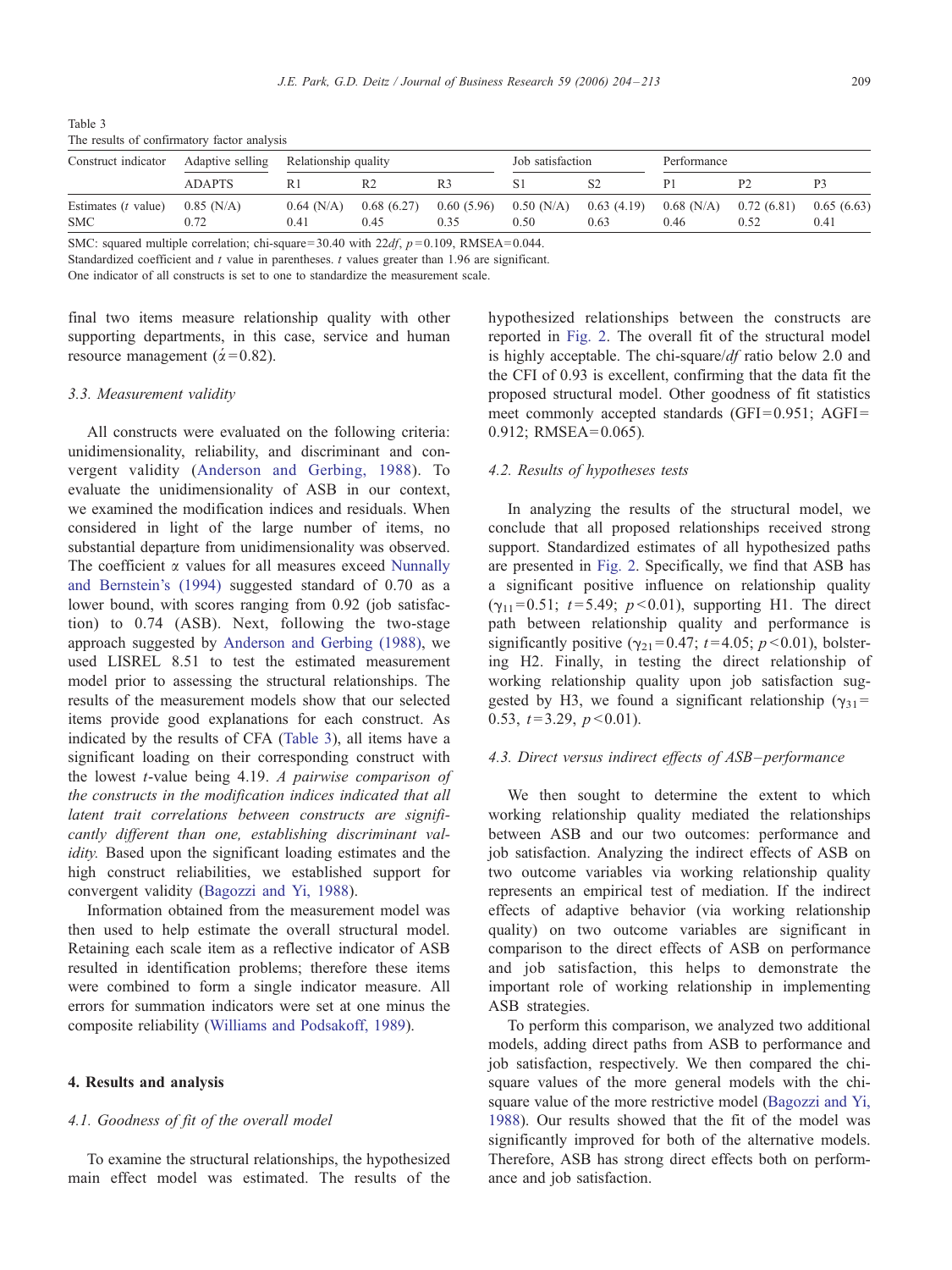Table 3 The results of confirmatory factor analysis

| Construct indicator                 | Adaptive selling       | Relationship quality |                    | Job satisfaction   |                      | Performance        |                      |                    |                    |
|-------------------------------------|------------------------|----------------------|--------------------|--------------------|----------------------|--------------------|----------------------|--------------------|--------------------|
|                                     | <b>ADAPTS</b>          |                      | R2                 |                    |                      |                    |                      |                    | P3                 |
| Estimates $(t$ value)<br><b>SMC</b> | $0.85 \ (N/A)$<br>0.72 | $0.64$ (N/A)<br>0.41 | 0.68(6.27)<br>0.45 | 0.60(5.96)<br>0.35 | $0.50$ (N/A)<br>0.50 | 0.63(4.19)<br>0.63 | $0.68$ (N/A)<br>0.46 | 0.72(6.81)<br>0.52 | 0.65(6.63)<br>0.41 |

SMC: squared multiple correlation; chi-square= 30.40 with  $22df$ ,  $p = 0.109$ , RMSEA= 0.044.

Standardized coefficient and t value in parentheses. t values greater than 1.96 are significant.

One indicator of all constructs is set to one to standardize the measurement scale.

final two items measure relationship quality with other supporting departments, in this case, service and human resource management ( $\acute{\alpha}$  = 0.82).

## 3.3. Measurement validity

All constructs were evaluated on the following criteria: unidimensionality, reliability, and discriminant and convergent validity ([Anderson and Gerbing, 1988\)](#page-8-0). To evaluate the unidimensionality of ASB in our context, we examined the modification indices and residuals. When considered in light of the large number of items, no substantial departure from unidimensionality was observed. The coefficient  $\alpha$  values for all measures exceed [Nunnally](#page-9-0) and Bernstein's (1994) suggested standard of 0.70 as a lower bound, with scores ranging from 0.92 (job satisfaction) to 0.74 (ASB). Next, following the two-stage approach suggested by [Anderson and Gerbing \(1988\),](#page-8-0) we used LISREL 8.51 to test the estimated measurement model prior to assessing the structural relationships. The results of the measurement models show that our selected items provide good explanations for each construct. As indicated by the results of CFA (Table 3), all items have a significant loading on their corresponding construct with the lowest t-value being 4.19. A pairwise comparison of the constructs in the modification indices indicated that all latent trait correlations between constructs are significantly different than one, establishing discriminant validity. Based upon the significant loading estimates and the high construct reliabilities, we established support for convergent validity ([Bagozzi and Yi, 1988\)](#page-8-0).

Information obtained from the measurement model was then used to help estimate the overall structural model. Retaining each scale item as a reflective indicator of ASB resulted in identification problems; therefore these items were combined to form a single indicator measure. All errors for summation indicators were set at one minus the composite reliability ([Williams and Podsakoff, 1989\)](#page-9-0).

#### 4. Results and analysis

## 4.1. Goodness of fit of the overall model

To examine the structural relationships, the hypothesized main effect model was estimated. The results of the hypothesized relationships between the constructs are reported in [Fig. 2.](#page-6-0) The overall fit of the structural model is highly acceptable. The chi-square/df ratio below 2.0 and the CFI of 0.93 is excellent, confirming that the data fit the proposed structural model. Other goodness of fit statistics meet commonly accepted standards (GFI=0.951; AGFI= 0.912; RMSEA= 0.065).

# 4.2. Results of hypotheses tests

In analyzing the results of the structural model, we conclude that all proposed relationships received strong support. Standardized estimates of all hypothesized paths are presented in [Fig. 2.](#page-6-0) Specifically, we find that ASB has a significant positive influence on relationship quality  $(\gamma_{11} = 0.51; t = 5.49; p < 0.01)$ , supporting H1. The direct path between relationship quality and performance is significantly positive  $(y_{21} = 0.47; t = 4.05; p < 0.01)$ , bolstering H2. Finally, in testing the direct relationship of working relationship quality upon job satisfaction suggested by H3, we found a significant relationship ( $\gamma_{31}$ = 0.53,  $t = 3.29$ ,  $p < 0.01$ ).

#### 4.3. Direct versus indirect effects of ASB – performance

We then sought to determine the extent to which working relationship quality mediated the relationships between ASB and our two outcomes: performance and job satisfaction. Analyzing the indirect effects of ASB on two outcome variables via working relationship quality represents an empirical test of mediation. If the indirect effects of adaptive behavior (via working relationship quality) on two outcome variables are significant in comparison to the direct effects of ASB on performance and job satisfaction, this helps to demonstrate the important role of working relationship in implementing ASB strategies.

To perform this comparison, we analyzed two additional models, adding direct paths from ASB to performance and job satisfaction, respectively. We then compared the chisquare values of the more general models with the chisquare value of the more restrictive model ([Bagozzi and Yi,](#page-8-0) 1988). Our results showed that the fit of the model was significantly improved for both of the alternative models. Therefore, ASB has strong direct effects both on performance and job satisfaction.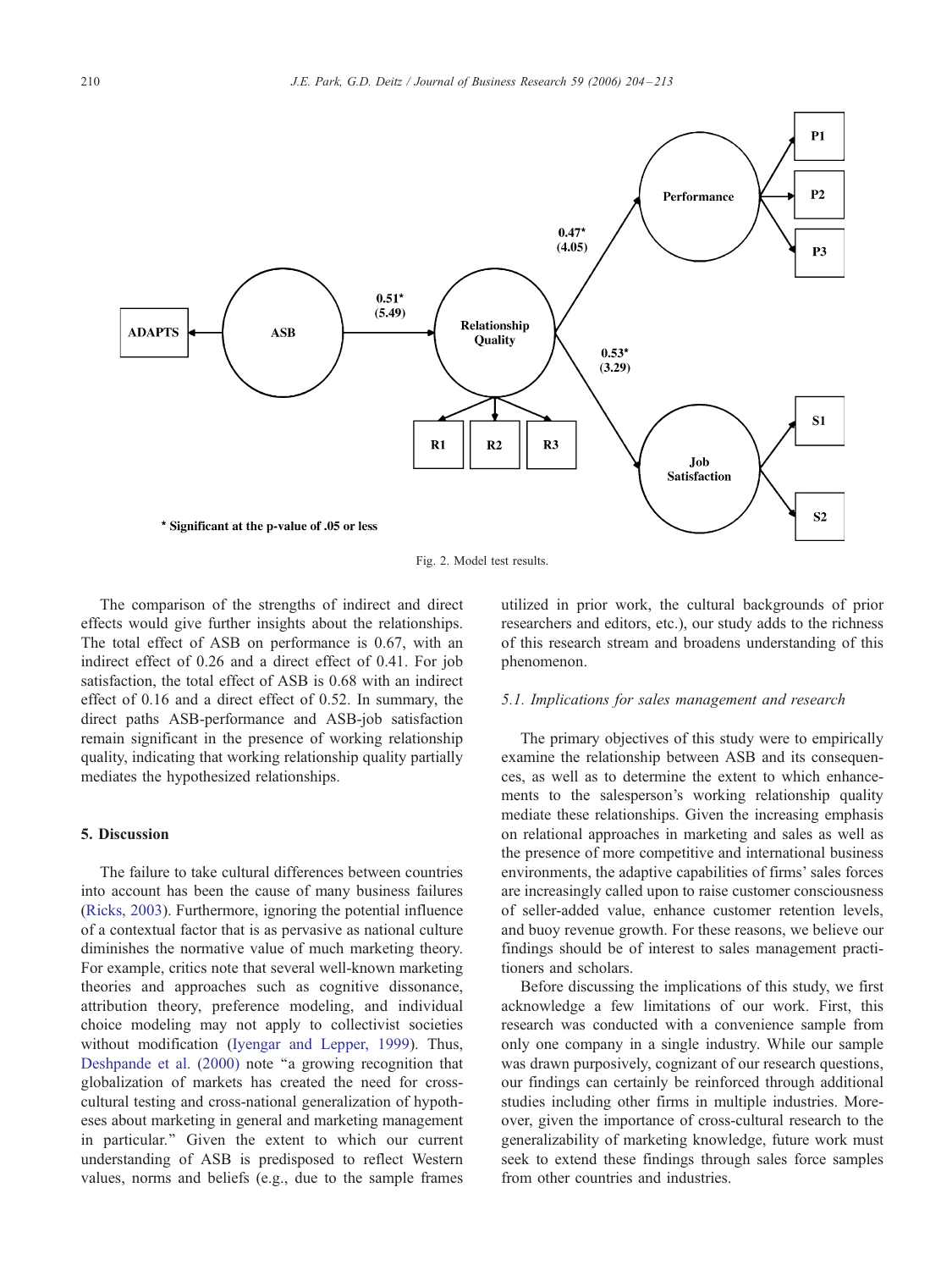<span id="page-6-0"></span>

Fig. 2. Model test results.

The comparison of the strengths of indirect and direct effects would give further insights about the relationships. The total effect of ASB on performance is 0.67, with an indirect effect of 0.26 and a direct effect of 0.41. For job satisfaction, the total effect of ASB is 0.68 with an indirect effect of 0.16 and a direct effect of 0.52. In summary, the direct paths ASB-performance and ASB-job satisfaction remain significant in the presence of working relationship quality, indicating that working relationship quality partially mediates the hypothesized relationships.

# 5. Discussion

The failure to take cultural differences between countries into account has been the cause of many business failures [\(Ricks, 2003](#page-9-0)). Furthermore, ignoring the potential influence of a contextual factor that is as pervasive as national culture diminishes the normative value of much marketing theory. For example, critics note that several well-known marketing theories and approaches such as cognitive dissonance, attribution theory, preference modeling, and individual choice modeling may not apply to collectivist societies without modification [\(Iyengar and Lepper, 1999](#page-9-0)). Thus, [Deshpande et al. \(2000\)](#page-8-0) note ''a growing recognition that globalization of markets has created the need for crosscultural testing and cross-national generalization of hypotheses about marketing in general and marketing management in particular.'' Given the extent to which our current understanding of ASB is predisposed to reflect Western values, norms and beliefs (e.g., due to the sample frames

utilized in prior work, the cultural backgrounds of prior researchers and editors, etc.), our study adds to the richness of this research stream and broadens understanding of this phenomenon.

#### 5.1. Implications for sales management and research

The primary objectives of this study were to empirically examine the relationship between ASB and its consequences, as well as to determine the extent to which enhancements to the salesperson's working relationship quality mediate these relationships. Given the increasing emphasis on relational approaches in marketing and sales as well as the presence of more competitive and international business environments, the adaptive capabilities of firms' sales forces are increasingly called upon to raise customer consciousness of seller-added value, enhance customer retention levels, and buoy revenue growth. For these reasons, we believe our findings should be of interest to sales management practitioners and scholars.

Before discussing the implications of this study, we first acknowledge a few limitations of our work. First, this research was conducted with a convenience sample from only one company in a single industry. While our sample was drawn purposively, cognizant of our research questions, our findings can certainly be reinforced through additional studies including other firms in multiple industries. Moreover, given the importance of cross-cultural research to the generalizability of marketing knowledge, future work must seek to extend these findings through sales force samples from other countries and industries.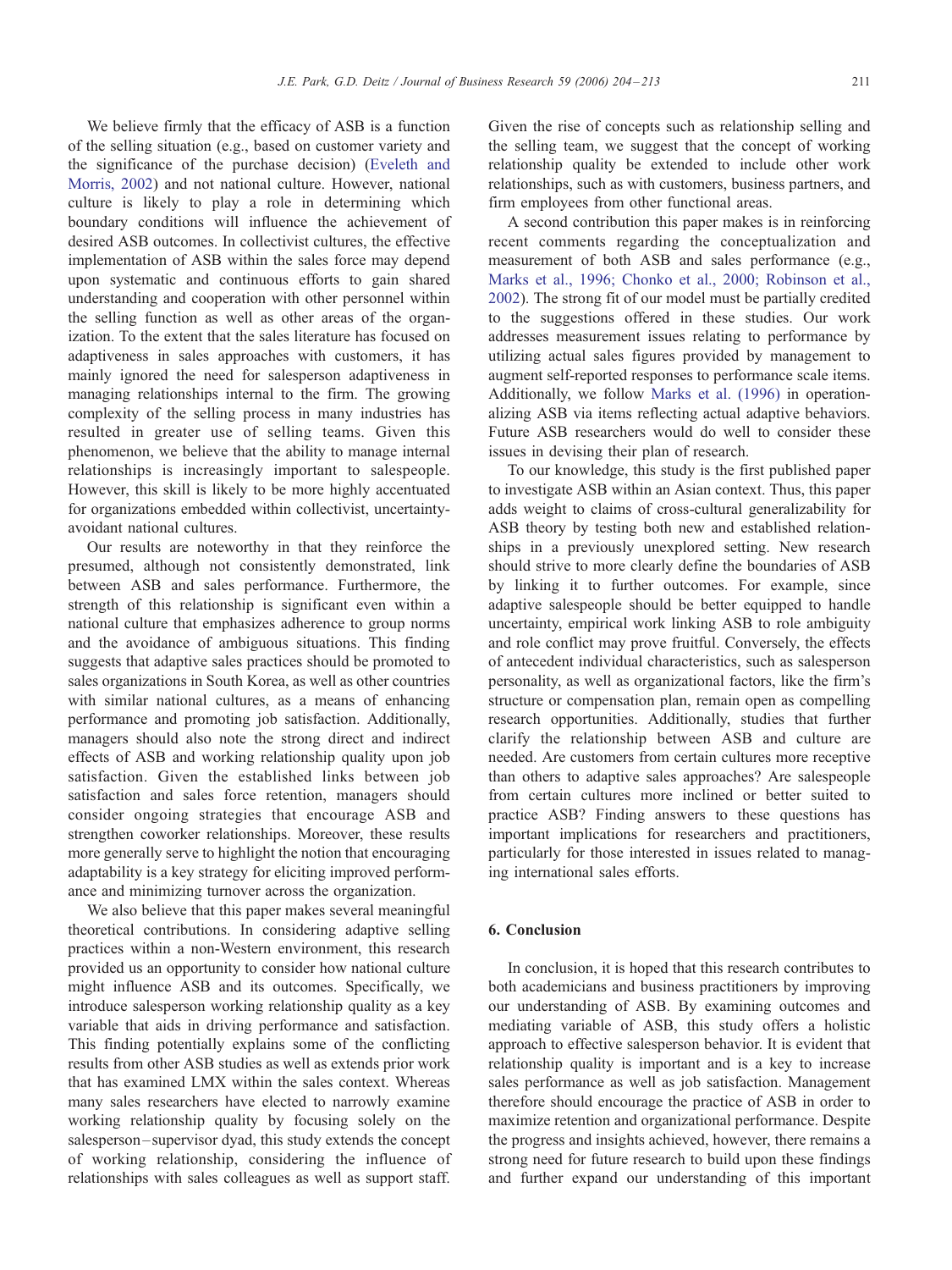We believe firmly that the efficacy of ASB is a function of the selling situation (e.g., based on customer variety and the significance of the purchase decision) ([Eveleth and](#page-9-0) Morris, 2002) and not national culture. However, national culture is likely to play a role in determining which boundary conditions will influence the achievement of desired ASB outcomes. In collectivist cultures, the effective implementation of ASB within the sales force may depend upon systematic and continuous efforts to gain shared understanding and cooperation with other personnel within the selling function as well as other areas of the organization. To the extent that the sales literature has focused on adaptiveness in sales approaches with customers, it has mainly ignored the need for salesperson adaptiveness in managing relationships internal to the firm. The growing complexity of the selling process in many industries has resulted in greater use of selling teams. Given this phenomenon, we believe that the ability to manage internal relationships is increasingly important to salespeople. However, this skill is likely to be more highly accentuated for organizations embedded within collectivist, uncertaintyavoidant national cultures.

Our results are noteworthy in that they reinforce the presumed, although not consistently demonstrated, link between ASB and sales performance. Furthermore, the strength of this relationship is significant even within a national culture that emphasizes adherence to group norms and the avoidance of ambiguous situations. This finding suggests that adaptive sales practices should be promoted to sales organizations in South Korea, as well as other countries with similar national cultures, as a means of enhancing performance and promoting job satisfaction. Additionally, managers should also note the strong direct and indirect effects of ASB and working relationship quality upon job satisfaction. Given the established links between job satisfaction and sales force retention, managers should consider ongoing strategies that encourage ASB and strengthen coworker relationships. Moreover, these results more generally serve to highlight the notion that encouraging adaptability is a key strategy for eliciting improved performance and minimizing turnover across the organization.

We also believe that this paper makes several meaningful theoretical contributions. In considering adaptive selling practices within a non-Western environment, this research provided us an opportunity to consider how national culture might influence ASB and its outcomes. Specifically, we introduce salesperson working relationship quality as a key variable that aids in driving performance and satisfaction. This finding potentially explains some of the conflicting results from other ASB studies as well as extends prior work that has examined LMX within the sales context. Whereas many sales researchers have elected to narrowly examine working relationship quality by focusing solely on the salesperson – supervisor dyad, this study extends the concept of working relationship, considering the influence of relationships with sales colleagues as well as support staff.

Given the rise of concepts such as relationship selling and the selling team, we suggest that the concept of working relationship quality be extended to include other work relationships, such as with customers, business partners, and firm employees from other functional areas.

A second contribution this paper makes is in reinforcing recent comments regarding the conceptualization and measurement of both ASB and sales performance (e.g., [Marks et al., 1996; Chonko et al., 2000; Robinson et al.,](#page-9-0) 2002). The strong fit of our model must be partially credited to the suggestions offered in these studies. Our work addresses measurement issues relating to performance by utilizing actual sales figures provided by management to augment self-reported responses to performance scale items. Additionally, we follow [Marks et al. \(1996\)](#page-9-0) in operationalizing ASB via items reflecting actual adaptive behaviors. Future ASB researchers would do well to consider these issues in devising their plan of research.

To our knowledge, this study is the first published paper to investigate ASB within an Asian context. Thus, this paper adds weight to claims of cross-cultural generalizability for ASB theory by testing both new and established relationships in a previously unexplored setting. New research should strive to more clearly define the boundaries of ASB by linking it to further outcomes. For example, since adaptive salespeople should be better equipped to handle uncertainty, empirical work linking ASB to role ambiguity and role conflict may prove fruitful. Conversely, the effects of antecedent individual characteristics, such as salesperson personality, as well as organizational factors, like the firm's structure or compensation plan, remain open as compelling research opportunities. Additionally, studies that further clarify the relationship between ASB and culture are needed. Are customers from certain cultures more receptive than others to adaptive sales approaches? Are salespeople from certain cultures more inclined or better suited to practice ASB? Finding answers to these questions has important implications for researchers and practitioners, particularly for those interested in issues related to managing international sales efforts.

# 6. Conclusion

In conclusion, it is hoped that this research contributes to both academicians and business practitioners by improving our understanding of ASB. By examining outcomes and mediating variable of ASB, this study offers a holistic approach to effective salesperson behavior. It is evident that relationship quality is important and is a key to increase sales performance as well as job satisfaction. Management therefore should encourage the practice of ASB in order to maximize retention and organizational performance. Despite the progress and insights achieved, however, there remains a strong need for future research to build upon these findings and further expand our understanding of this important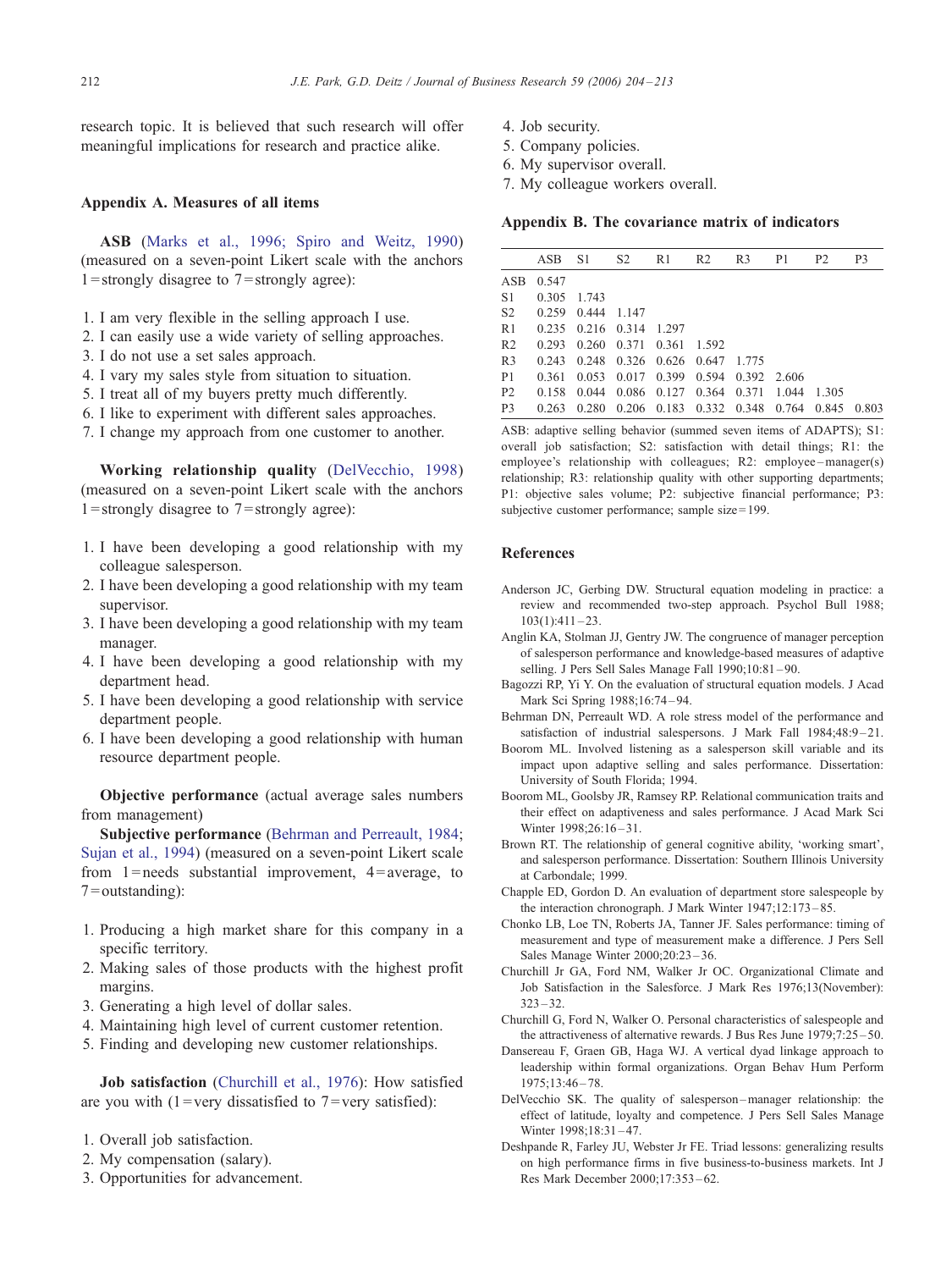<span id="page-8-0"></span>research topic. It is believed that such research will offer meaningful implications for research and practice alike.

#### Appendix A. Measures of all items

ASB ([Marks et al., 1996; Spiro and Weitz, 1990\)](#page-9-0) (measured on a seven-point Likert scale with the anchors  $1 =$ strongly disagree to  $7 =$ strongly agree):

- 1. I am very flexible in the selling approach I use.
- 2. I can easily use a wide variety of selling approaches.
- 3. I do not use a set sales approach.
- 4. I vary my sales style from situation to situation.
- 5. I treat all of my buyers pretty much differently.
- 6. I like to experiment with different sales approaches.
- 7. I change my approach from one customer to another.

Working relationship quality (DelVecchio, 1998) (measured on a seven-point Likert scale with the anchors  $1 =$ strongly disagree to  $7 =$ strongly agree):

- 1. I have been developing a good relationship with my colleague salesperson.
- 2. I have been developing a good relationship with my team supervisor.
- 3. I have been developing a good relationship with my team manager.
- 4. I have been developing a good relationship with my department head.
- 5. I have been developing a good relationship with service department people.
- 6. I have been developing a good relationship with human resource department people.

Objective performance (actual average sales numbers from management)

Subjective performance (Behrman and Perreault, 1984; [Sujan et al., 1994\)](#page-9-0) (measured on a seven-point Likert scale from  $1 = needs$  substantial improvement,  $4 = average$ , to  $7 =$ outstanding):

- 1. Producing a high market share for this company in a specific territory.
- 2. Making sales of those products with the highest profit margins.
- 3. Generating a high level of dollar sales.
- 4. Maintaining high level of current customer retention.
- 5. Finding and developing new customer relationships.

Job satisfaction (Churchill et al., 1976): How satisfied are you with  $(1 = \text{very dissatisfied to } 7 = \text{very satisfied})$ :

- 1. Overall job satisfaction.
- 2. My compensation (salary).
- 3. Opportunities for advancement.
- 4. Job security.
- 5. Company policies.
- 6. My supervisor overall.
- 7. My colleague workers overall.

Appendix B. The covariance matrix of indicators

|                | ASB   | S1                      | S <sub>2</sub> | R1    | R2                                              | R3 | P <sub>1</sub> | P <sub>2</sub> | P <sub>3</sub> |
|----------------|-------|-------------------------|----------------|-------|-------------------------------------------------|----|----------------|----------------|----------------|
| ASB            | 0.547 |                         |                |       |                                                 |    |                |                |                |
| S1             |       | 0.305 1.743             |                |       |                                                 |    |                |                |                |
| S <sub>2</sub> |       | 0.259 0.444 1.147       |                |       |                                                 |    |                |                |                |
| R <sub>1</sub> |       | $0.235$ $0.216$ $0.314$ |                | 1 297 |                                                 |    |                |                |                |
| R <sub>2</sub> | 0.293 | 0.260 0.371 0.361 1.592 |                |       |                                                 |    |                |                |                |
| R <sub>3</sub> |       |                         |                |       | 0.243 0.248 0.326 0.626 0.647 1.775             |    |                |                |                |
| P <sub>1</sub> | 0.361 |                         |                |       | 0.053 0.017 0.399 0.594 0.392 2.606             |    |                |                |                |
| P <sub>2</sub> |       |                         |                |       | 0.158 0.044 0.086 0.127 0.364 0.371 1.044 1.305 |    |                |                |                |
| P <sub>3</sub> | 0.263 | 0.280                   |                |       | 0.206 0.183 0.332 0.348 0.764 0.845             |    |                |                | 0.803          |

ASB: adaptive selling behavior (summed seven items of ADAPTS); S1: overall job satisfaction; S2: satisfaction with detail things; R1: the employee's relationship with colleagues; R2: employee – manager(s) relationship; R3: relationship quality with other supporting departments; P1: objective sales volume; P2: subjective financial performance; P3: subjective customer performance; sample size = 199.

#### References

- Anderson JC, Gerbing DW. Structural equation modeling in practice: a review and recommended two-step approach. Psychol Bull 1988;  $103(1)$ :411 – 23.
- Anglin KA, Stolman JJ, Gentry JW. The congruence of manager perception of salesperson performance and knowledge-based measures of adaptive selling. J Pers Sell Sales Manage Fall 1990;10:81-90.
- Bagozzi RP, Yi Y. On the evaluation of structural equation models. J Acad Mark Sci Spring 1988;16:74 – 94.
- Behrman DN, Perreault WD. A role stress model of the performance and satisfaction of industrial salespersons. J Mark Fall 1984:48:9-21.
- Boorom ML. Involved listening as a salesperson skill variable and its impact upon adaptive selling and sales performance. Dissertation: University of South Florida; 1994.
- Boorom ML, Goolsby JR, Ramsey RP. Relational communication traits and their effect on adaptiveness and sales performance. J Acad Mark Sci Winter 1998;26:16-31.
- Brown RT. The relationship of general cognitive ability, 'working smart', and salesperson performance. Dissertation: Southern Illinois University at Carbondale; 1999.
- Chapple ED, Gordon D. An evaluation of department store salespeople by the interaction chronograph. J Mark Winter 1947;12:173-85.
- Chonko LB, Loe TN, Roberts JA, Tanner JF. Sales performance: timing of measurement and type of measurement make a difference. J Pers Sell Sales Manage Winter 2000;20:23 – 36.
- Churchill Jr GA, Ford NM, Walker Jr OC. Organizational Climate and Job Satisfaction in the Salesforce. J Mark Res 1976;13(November):  $323 - 32.$
- Churchill G, Ford N, Walker O. Personal characteristics of salespeople and the attractiveness of alternative rewards. J Bus Res June 1979;7:25 – 50.
- Dansereau F, Graen GB, Haga WJ. A vertical dyad linkage approach to leadership within formal organizations. Organ Behav Hum Perform 1975;13:46 – 78.
- DelVecchio SK. The quality of salesperson –manager relationship: the effect of latitude, loyalty and competence. J Pers Sell Sales Manage Winter 1998;18:31-47.
- Deshpande R, Farley JU, Webster Jr FE. Triad lessons: generalizing results on high performance firms in five business-to-business markets. Int J Res Mark December 2000;17:353 – 62.